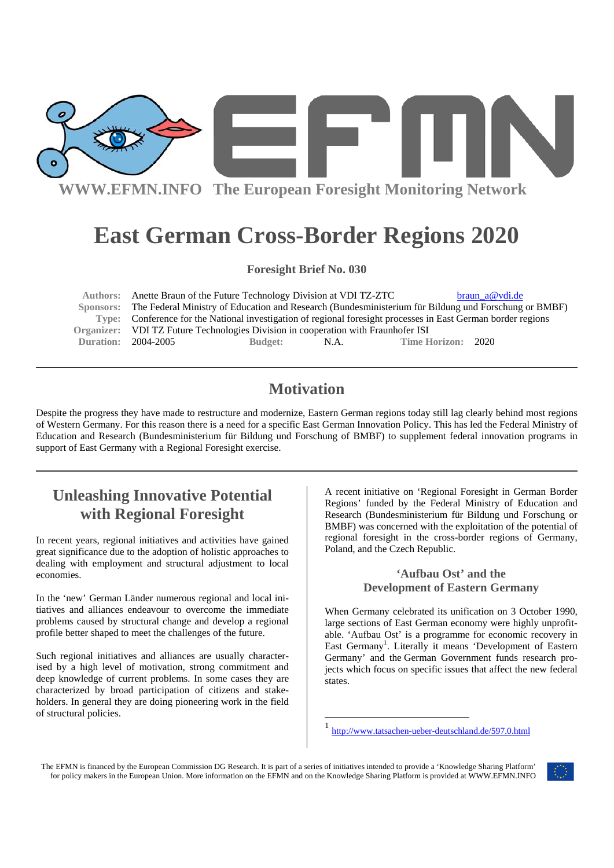

# **East German Cross-Border Regions 2020**

**Foresight Brief No. 030** 

Authors: Anette Braun of the Future Technology Division at VDI TZ-ZTC braun a@vdi.de  **Sponsors:** The Federal Ministry of Education and Research (Bundesministerium für Bildung und Forschung or BMBF) **Type:** Conference for the National investigation of regional foresight processes in East German border regions **Organizer:** VDI TZ Future Technologies Division in cooperation with Fraunhofer ISI **Duration:** 2004-2005 **Budget:** N.A. **Time Horizon:** 2020

## **Motivation**

Despite the progress they have made to restructure and modernize, Eastern German regions today still lag clearly behind most regions of Western Germany. For this reason there is a need for a specific East German Innovation Policy. This has led the Federal Ministry of Education and Research (Bundesministerium für Bildung und Forschung of BMBF) to supplement federal innovation programs in support of East Germany with a Regional Foresight exercise.

# **Unleashing Innovative Potential with Regional Foresight**

In recent years, regional initiatives and activities have gained great significance due to the adoption of holistic approaches to dealing with employment and structural adjustment to local economies.

In the 'new' German Länder numerous regional and local initiatives and alliances endeavour to overcome the immediate problems caused by structural change and develop a regional profile better shaped to meet the challenges of the future.

Such regional initiatives and alliances are usually characterised by a high level of motivation, strong commitment and deep knowledge of current problems. In some cases they are characterized by broad participation of citizens and stakeholders. In general they are doing pioneering work in the field of structural policies.

A recent initiative on 'Regional Foresight in German Border Regions' funded by the Federal Ministry of Education and Research (Bundesministerium für Bildung und Forschung or BMBF) was concerned with the exploitation of the potential of regional foresight in the cross-border regions of Germany, Poland, and the Czech Republic.

#### **'Aufbau Ost' and the Development of Eastern Germany**

When Germany celebrated its unification on 3 October 1990, large sections of East German economy were highly unprofitable. 'Aufbau Ost' is a programme for economic recovery in East Germany<sup>1</sup>. Literally it means 'Development of Eastern Germany' and the German Government funds research projects which focus on specific issues that affect the new federal states.

The EFMN is financed by the European Commission DG Research. It is part of a series of initiatives intended to provide a 'Knowledge Sharing Platform' for policy makers in the European Union. More information on the EFMN and on the Knowledge Sharing Platform is provided at WWW.EFMN.INFO

<sup>-</sup>



http://www.tatsachen-ueber-deutschland.de/597.0.html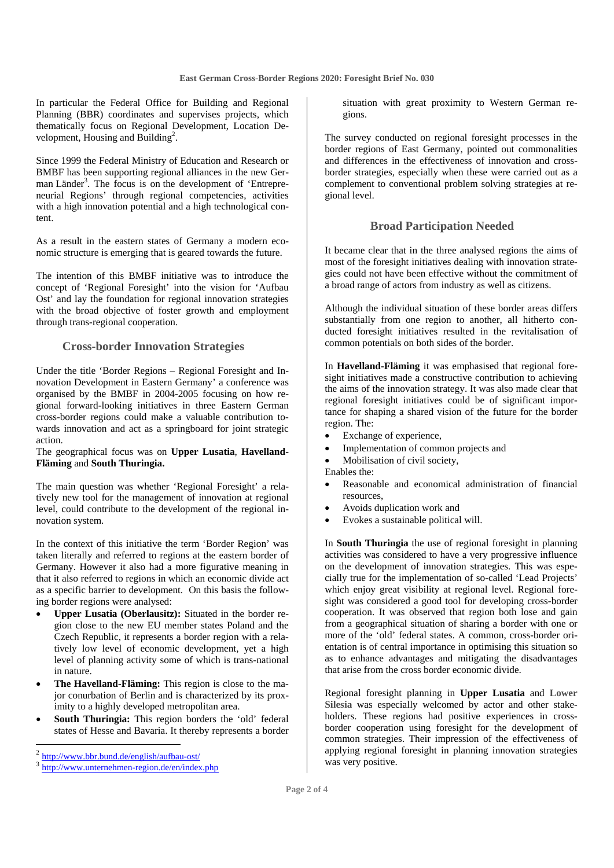In particular the Federal Office for Building and Regional Planning (BBR) coordinates and supervises projects, which thematically focus on Regional Development, Location Development, Housing and Building<sup>2</sup>.

Since 1999 the Federal Ministry of Education and Research or BMBF has been supporting regional alliances in the new German Länder<sup>3</sup>. The focus is on the development of 'Entrepreneurial Regions' through regional competencies, activities with a high innovation potential and a high technological content.

As a result in the eastern states of Germany a modern economic structure is emerging that is geared towards the future.

The intention of this BMBF initiative was to introduce the concept of 'Regional Foresight' into the vision for 'Aufbau Ost' and lay the foundation for regional innovation strategies with the broad objective of foster growth and employment through trans-regional cooperation.

#### **Cross-border Innovation Strategies**

Under the title 'Border Regions – Regional Foresight and Innovation Development in Eastern Germany' a conference was organised by the BMBF in 2004-2005 focusing on how regional forward-looking initiatives in three Eastern German cross-border regions could make a valuable contribution towards innovation and act as a springboard for joint strategic action.

#### The geographical focus was on **Upper Lusatia**, **Havelland-Fläming** and **South Thuringia.**

The main question was whether 'Regional Foresight' a relatively new tool for the management of innovation at regional level, could contribute to the development of the regional innovation system.

In the context of this initiative the term 'Border Region' was taken literally and referred to regions at the eastern border of Germany. However it also had a more figurative meaning in that it also referred to regions in which an economic divide act as a specific barrier to development. On this basis the following border regions were analysed:

- **Upper Lusatia (Oberlausitz):** Situated in the border region close to the new EU member states Poland and the Czech Republic, it represents a border region with a relatively low level of economic development, yet a high level of planning activity some of which is trans-national in nature.
- **The Havelland-Fläming:** This region is close to the major conurbation of Berlin and is characterized by its proximity to a highly developed metropolitan area.
- South Thuringia: This region borders the 'old' federal states of Hesse and Bavaria. It thereby represents a border

situation with great proximity to Western German regions.

The survey conducted on regional foresight processes in the border regions of East Germany, pointed out commonalities and differences in the effectiveness of innovation and crossborder strategies, especially when these were carried out as a complement to conventional problem solving strategies at regional level.

#### **Broad Participation Needed**

It became clear that in the three analysed regions the aims of most of the foresight initiatives dealing with innovation strategies could not have been effective without the commitment of a broad range of actors from industry as well as citizens.

Although the individual situation of these border areas differs substantially from one region to another, all hitherto conducted foresight initiatives resulted in the revitalisation of common potentials on both sides of the border.

In **Havelland-Fläming** it was emphasised that regional foresight initiatives made a constructive contribution to achieving the aims of the innovation strategy. It was also made clear that regional foresight initiatives could be of significant importance for shaping a shared vision of the future for the border region. The:

- Exchange of experience,
- Implementation of common projects and
- Mobilisation of civil society,

Enables the:

- Reasonable and economical administration of financial resources,
- Avoids duplication work and
- Evokes a sustainable political will.

In **South Thuringia** the use of regional foresight in planning activities was considered to have a very progressive influence on the development of innovation strategies. This was especially true for the implementation of so-called 'Lead Projects' which enjoy great visibility at regional level. Regional foresight was considered a good tool for developing cross-border cooperation. It was observed that region both lose and gain from a geographical situation of sharing a border with one or more of the 'old' federal states. A common, cross-border orientation is of central importance in optimising this situation so as to enhance advantages and mitigating the disadvantages that arise from the cross border economic divide.

Regional foresight planning in **Upper Lusatia** and **Lower Silesia** was especially welcomed by actor and other stakeholders. These regions had positive experiences in crossborder cooperation using foresight for the development of common strategies. Their impression of the effectiveness of applying regional foresight in planning innovation strategies was very positive.

 <sup>2</sup> http://www.bbr.bund.de/english/aufbau-ost/

<sup>3</sup> http://www.unternehmen-region.de/en/index.php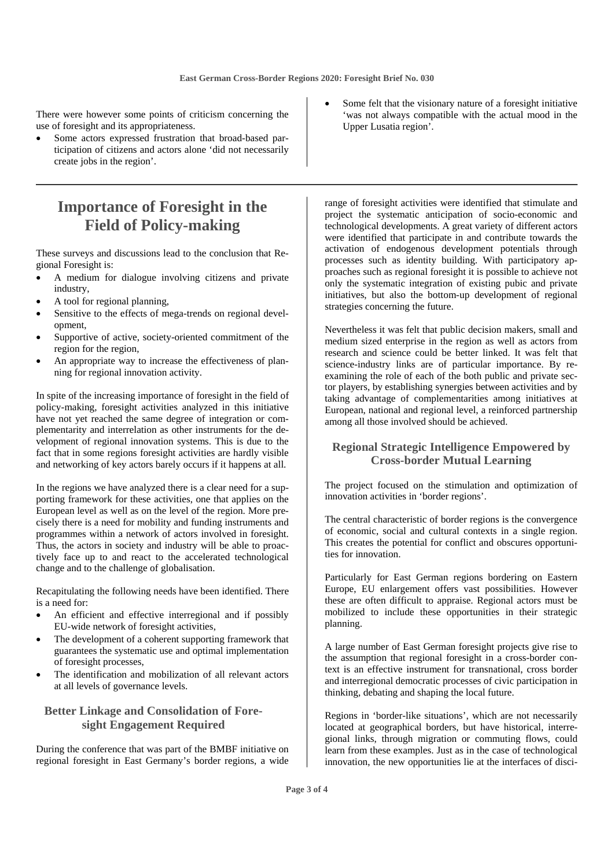There were however some points of criticism concerning the use of foresight and its appropriateness.

Some actors expressed frustration that broad-based participation of citizens and actors alone 'did not necessarily create jobs in the region'.

# **Importance of Foresight in the Field of Policy-making**

These surveys and discussions lead to the conclusion that Regional Foresight is:

- A medium for dialogue involving citizens and private industry,
- A tool for regional planning,
- Sensitive to the effects of mega-trends on regional development,
- Supportive of active, society-oriented commitment of the region for the region,
- An appropriate way to increase the effectiveness of planning for regional innovation activity.

In spite of the increasing importance of foresight in the field of policy-making, foresight activities analyzed in this initiative have not yet reached the same degree of integration or complementarity and interrelation as other instruments for the development of regional innovation systems. This is due to the fact that in some regions foresight activities are hardly visible and networking of key actors barely occurs if it happens at all.

In the regions we have analyzed there is a clear need for a supporting framework for these activities, one that applies on the European level as well as on the level of the region. More precisely there is a need for mobility and funding instruments and programmes within a network of actors involved in foresight. Thus, the actors in society and industry will be able to proactively face up to and react to the accelerated technological change and to the challenge of globalisation.

Recapitulating the following needs have been identified. There is a need for:

- An efficient and effective interregional and if possibly EU-wide network of foresight activities,
- The development of a coherent supporting framework that guarantees the systematic use and optimal implementation of foresight processes,
- The identification and mobilization of all relevant actors at all levels of governance levels.

#### **Better Linkage and Consolidation of Foresight Engagement Required**

During the conference that was part of the BMBF initiative on regional foresight in East Germany's border regions, a wide

Some felt that the visionary nature of a foresight initiative 'was not always compatible with the actual mood in the Upper Lusatia region'.

range of foresight activities were identified that stimulate and project the systematic anticipation of socio-economic and technological developments. A great variety of different actors were identified that participate in and contribute towards the activation of endogenous development potentials through processes such as identity building. With participatory approaches such as regional foresight it is possible to achieve not only the systematic integration of existing pubic and private initiatives, but also the bottom-up development of regional strategies concerning the future.

Nevertheless it was felt that public decision makers, small and medium sized enterprise in the region as well as actors from research and science could be better linked. It was felt that science-industry links are of particular importance. By reexamining the role of each of the both public and private sector players, by establishing synergies between activities and by taking advantage of complementarities among initiatives at European, national and regional level, a reinforced partnership among all those involved should be achieved.

#### **Regional Strategic Intelligence Empowered by Cross-border Mutual Learning**

The project focused on the stimulation and optimization of innovation activities in 'border regions'.

The central characteristic of border regions is the convergence of economic, social and cultural contexts in a single region. This creates the potential for conflict and obscures opportunities for innovation.

Particularly for East German regions bordering on Eastern Europe, EU enlargement offers vast possibilities. However these are often difficult to appraise. Regional actors must be mobilized to include these opportunities in their strategic planning.

A large number of East German foresight projects give rise to the assumption that regional foresight in a cross-border context is an effective instrument for transnational, cross border and interregional democratic processes of civic participation in thinking, debating and shaping the local future.

Regions in 'border-like situations', which are not necessarily located at geographical borders, but have historical, interregional links, through migration or commuting flows, could learn from these examples. Just as in the case of technological innovation, the new opportunities lie at the interfaces of disci